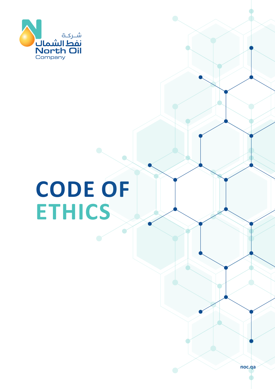

# **CODE OF ETHICS**

**noc.qa**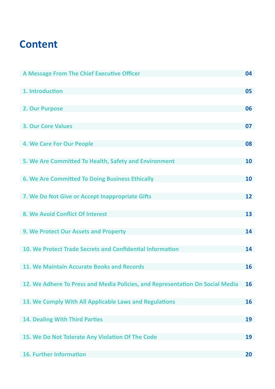# <span id="page-2-0"></span>**Content**

| A Message From The Chief Executive Officer                                    | 04 |
|-------------------------------------------------------------------------------|----|
| 1. Introduction                                                               | 05 |
| 2. Our Purpose                                                                | 06 |
| <b>3. Our Core Values</b>                                                     | 07 |
|                                                                               |    |
| 4. We Care For Our People                                                     | 08 |
| 5. We Are Committed To Health, Safety and Environment                         | 10 |
| 6. We Are Committed To Doing Business Ethically                               | 10 |
| 7. We Do Not Give or Accept Inappropriate Gifts                               | 12 |
| 8. We Avoid Conflict Of Interest                                              | 13 |
| 9. We Protect Our Assets and Property                                         | 14 |
|                                                                               |    |
| 10. We Protect Trade Secrets and Confidential Information                     | 14 |
| 11. We Maintain Accurate Books and Records                                    | 16 |
| 12. We Adhere To Press and Media Policies, and Representation On Social Media | 16 |
| 13. We Comply With All Applicable Laws and Regulations                        | 16 |
| <b>14. Dealing With Third Parties</b>                                         | 19 |
| 15. We Do Not Tolerate Any Violation Of The Code                              | 19 |
| <b>16. Further Information</b>                                                | 20 |
|                                                                               |    |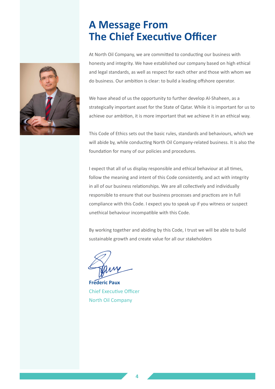# **A Message From The Chief Executive Officer**

<span id="page-3-0"></span>

At North Oil Company, we are committed to conducting our business with honesty and integrity. We have established our company based on high ethical and legal standards, as well as respect for each other and those with whom we do business. Our ambition is clear: to build a leading offshore operator.

We have ahead of us the opportunity to further develop Al-Shaheen, as a strategically important asset for the State of Qatar. While it is important for us to achieve our ambition, it is more important that we achieve it in an ethical way.

This Code of Ethics sets out the basic rules, standards and behaviours, which we will abide by, while conducting North Oil Company-related business. It is also the foundation for many of our policies and procedures.

I expect that all of us display responsible and ethical behaviour at all times, follow the meaning and intent of this Code consistently, and act with integrity in all of our business relationships. We are all collectively and individually responsible to ensure that our business processes and practices are in full compliance with this Code. I expect you to speak up if you witness or suspect unethical behaviour incompatible with this Code.

By working together and abiding by this Code, I trust we will be able to build sustainable growth and create value for all our stakeholders

**Frederic Paux** Chief Executive Officer North Oil Company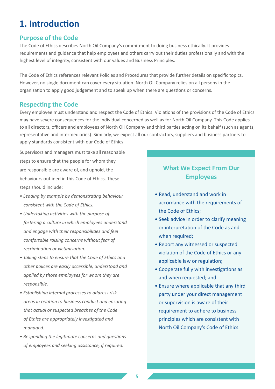# <span id="page-4-0"></span>**1. Introduction**

#### **Purpose of the Code**

The Code of Ethics describes North Oil Company's commitment to doing business ethically. It provides requirements and guidance that help employees and others carry out their duties professionally and with the highest level of integrity, consistent with our values and Business Principles.

The Code of Ethics references relevant Policies and Procedures that provide further details on specific topics. However, no single document can cover every situation. North Oil Company relies on all persons in the organization to apply good judgement and to speak up when there are questions or concerns.

#### **Respecting the Code**

Every employee must understand and respect the Code of Ethics. Violations of the provisions of the Code of Ethics may have severe consequences for the individual concerned as well as for North Oil Company. This Code applies to all directors, officers and employees of North Oil Company and third parties acting on its behalf (such as agents, representative and intermediaries). Similarly, we expect all our contractors, suppliers and business partners to apply standards consistent with our Code of Ethics.

Supervisors and managers must take all reasonable steps to ensure that the people for whom they are responsible are aware of, and uphold, the behaviours outlined in this Code of Ethics. These steps should include:

- *Leading by example by demonstrating behaviour consistent with the Code of Ethics.*
- *Undertaking activities with the purpose of fostering a culture in which employees understand and engage with their responsibilities and feel comfortable raising concerns without fear of recrimination or victimisation.*
- *Taking steps to ensure that the Code of Ethics and other polices are easily accessible, understood and applied by those employees for whom they are responsible.*
- *Establishing internal processes to address risk areas in relation to business conduct and ensuring that actual or suspected breaches of the Code of Ethics are appropriately investigated and managed.*
- *Responding the legitimate concerns and questions of employees and seeking assistance, if required.*

#### **What We Expect From Our Employees**

- Read, understand and work in accordance with the requirements of the Code of Ethics;
- Seek advice in order to clarify meaning or interpretation of the Code as and when required;
- Report any witnessed or suspected violation of the Code of Ethics or any applicable law or regulation;
- Cooperate fully with investigations as and when requested; and
- Ensure where applicable that any third party under your direct management or supervision is aware of their requirement to adhere to business principles which are consistent with North Oil Company's Code of Ethics.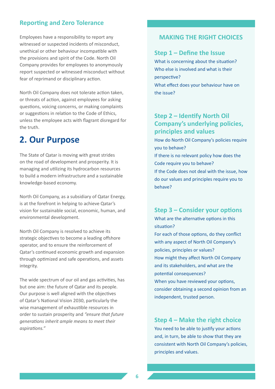#### <span id="page-5-0"></span>**Reporting and Zero Tolerance**

Employees have a responsibility to report any witnessed or suspected incidents of misconduct, unethical or other behaviour incompatible with the provisions and spirit of the Code. North Oil Company provides for employees to anonymously report suspected or witnessed misconduct without fear of reprimand or disciplinary action.

North Oil Company does not tolerate action taken, or threats of action, against employees for asking questions, voicing concerns, or making complaints or suggestions in relation to the Code of Ethics, unless the employee acts with flagrant disregard for the truth.

### **2. Our Purpose**

The State of Qatar is moving with great strides on the road of development and prosperity. It is managing and utilizing its hydrocarbon resources to build a modern infrastructure and a sustainable knowledge-based economy.

North Oil Company, as a subsidiary of Qatar Energy, is at the forefront in helping to achieve Qatar's vision for sustainable social, economic, human, and environmental development.

North Oil Company is resolved to achieve its strategic objectives to become a leading offshore operator, and to ensure the reinforcement of Qatar's continued economic growth and expansion through optimized and safe operations, and assets integrity.

The wide spectrum of our oil and gas activities, has but one aim: the future of Qatar and its people. Our purpose is well aligned with the objectives of Qatar's National Vision 2030, particularly the wise management of exhaustible resources in order to sustain prosperity and *"ensure that future generations inherit ample means to meet their aspirations."* 

#### **MAKING THE RIGHT CHOICES**

#### **Step 1 – Define the Issue**

What is concerning about the situation? Who else is involved and what is their perspective? What effect does your behaviour have on the issue?

#### **Step 2 – Identify North Oil Company's underlying policies, principles and values**

How do North Oil Company's policies require you to behave? If there is no relevant policy how does the Code require you to behave? If the Code does not deal with the issue, how do our values and principles require you to behave?

#### **Step 3 – Consider your options**

What are the alternative options in this situation?

For each of those options, do they conflict with any aspect of North Oil Company's policies, principles or values? How might they affect North Oil Company and its stakeholders, and what are the potential consequences?

When you have reviewed your options, consider obtaining a second opinion from an independent, trusted person.

**Step 4 – Make the right choice**

You need to be able to justify your actions and, in turn, be able to show that they are consistent with North Oil Company's policies, principles and values.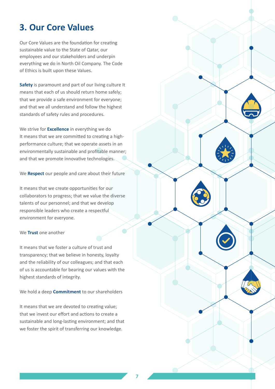### <span id="page-6-0"></span>**3. Our Core Values**

Our Core Values are the foundation for creating sustainable value to the State of Qatar, our employees and our stakeholders and underpin everything we do in North Oil Company. The Code of Ethics is built upon these Values.

**Safety** is paramount and part of our living culture It means that each of us should return home safely; that we provide a safe environment for everyone; and that we all understand and follow the highest standards of safety rules and procedures.

We strive for **Excellence** in everything we do It means that we are committed to creating a highperformance culture; that we operate assets in an environmentally sustainable and profitable manner; and that we promote innovative technologies.

We **Respect** our people and care about their future

It means that we create opportunities for our collaborators to progress; that we value the diverse talents of our personnel; and that we develop responsible leaders who create a respectful environment for everyone.

#### We **Trust** one another

It means that we foster a culture of trust and transparency; that we believe in honesty, loyalty and the reliability of our colleagues; and that each of us is accountable for bearing our values with the highest standards of integrity.

We hold a deep **Commitment** to our shareholders

It means that we are devoted to creating value; that we invest our effort and actions to create a sustainable and long-lasting environment; and that we foster the spirit of transferring our knowledge.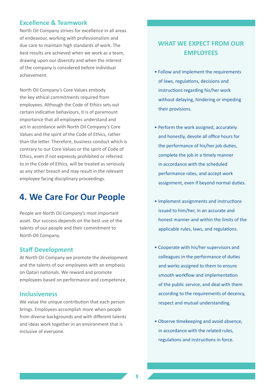#### <span id="page-7-0"></span>**Excellence & Teamwork**

North Oil Company strives for excellence in all areas of endeavour, working with professionalism and due care to maintain high standards of work. The best results are achieved when we work as a team, drawing upon our diversity and when the interest of the company is considered before individual achievement.

North Oil Company's Core Values embody the key ethical commitments required from employees. Although the Code of Ethics sets out certain indicative behaviours, it is of paramount importance that all employees understand and act in accordance with North Oil Company's Core Values and the spirit of the Code of Ethics, rather than the letter. Therefore, business conduct which is contrary to our Core Values or the spirit of Code of Ethics, even if not expressly prohibited or referred to in the Code of Ethics, will be treated as seriously as any other breach and may result in the relevant employee facing disciplinary proceedings.

### **4. We Care For Our People**

People are North Oil Company's most important asset. Our success depends on the best use of the talents of our people and their commitment to North Oil Company.

#### **Staff Development**

At North Oil Company we promote the development and the talents of our employees with an emphasis on Qatari nationals. We reward and promote employees based on performance and competence.

#### **Inclusiveness**

We value the unique contribution that each person brings. Employees accomplish more when people from diverse backgrounds and with different talents and ideas work together in an environment that is inclusive of everyone.

#### **WHAT WE EXPECT FROM OUR EMPLOYEES**

- Follow and implement the requirements of laws, regulations, decisions and instructions regarding his/her work without delaying, hindering or impeding their provisions.
- Perform the work assigned, accurately and honestly, devote all office hours for the performance of his/her job duties, complete the job in a timely manner in accordance with the scheduled performance rates, and accept work assignment, even if beyond normal duties.
- Implement assignments and instructions issued to him/her, in an accurate and honest manner and within the limits of the applicable rules, laws, and regulations.
- Cooperate with his/her supervisors and colleagues in the performance of duties and works assigned to them to ensure smooth workflow and implementation of the public service, and deal with them according to the requirements of decency, respect and mutual understanding.
- Observe timekeeping and avoid absence, in accordance with the related rules, regulations and instructions in force.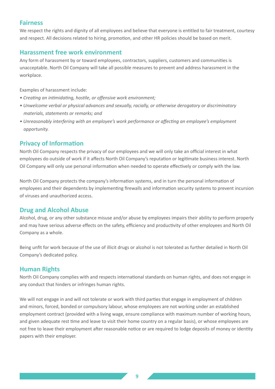#### **Fairness**

We respect the rights and dignity of all employees and believe that everyone is entitled to fair treatment, courtesy and respect. All decisions related to hiring, promotion, and other HR policies should be based on merit.

#### **Harassment free work environment**

Any form of harassment by or toward employees, contractors, suppliers, customers and communities is unacceptable. North Oil Company will take all possible measures to prevent and address harassment in the workplace.

Examples of harassment include:

- *Creating an intimidating, hostile, or offensive work environment;*
- *Unwelcome verbal or physical advances and sexually, racially, or otherwise derogatory or discriminatory materials, statements or remarks; and*
- *Unreasonably interfering with an employee's work performance or affecting an employee's employment opportunity.*

#### **Privacy of Information**

North Oil Company respects the privacy of our employees and we will only take an official interest in what employees do outside of work if it affects North Oil Company's reputation or legitimate business interest. North Oil Company will only use personal information when needed to operate effectively or comply with the law.

North Oil Company protects the company's information systems, and in turn the personal information of employees and their dependents by implementing firewalls and information security systems to prevent incursion of viruses and unauthorized access.

#### **Drug and Alcohol Abuse**

Alcohol, drug, or any other substance misuse and/or abuse by employees impairs their ability to perform properly and may have serious adverse effects on the safety, efficiency and productivity of other employees and North Oil Company as a whole.

Being unfit for work because of the use of illicit drugs or alcohol is not tolerated as further detailed in North Oil Company's dedicated policy.

#### **Human Rights**

North Oil Company complies with and respects international standards on human rights, and does not engage in any conduct that hinders or infringes human rights.

We will not engage in and will not tolerate or work with third parties that engage in employment of children and minors, forced, bonded or compulsory labour, whose employees are not working under an established employment contract (provided with a living wage, ensure compliance with maximum number of working hours, and given adequate rest time and leave to visit their home country on a regular basis), or whose employees are not free to leave their employment after reasonable notice or are required to lodge deposits of money or identity papers with their employer.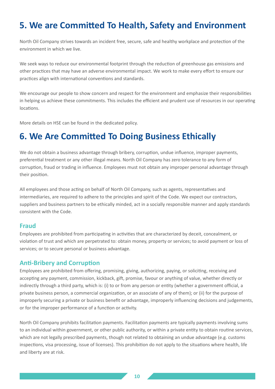# <span id="page-9-0"></span>**5. We are Committed To Health, Safety and Environment**

North Oil Company strives towards an incident free, secure, safe and healthy workplace and protection of the environment in which we live.

We seek ways to reduce our environmental footprint through the reduction of greenhouse gas emissions and other practices that may have an adverse environmental impact. We work to make every effort to ensure our practices align with international conventions and standards.

We encourage our people to show concern and respect for the environment and emphasize their responsibilities in helping us achieve these commitments. This includes the efficient and prudent use of resources in our operating locations.

More details on HSE can be found in the dedicated policy.

# **6. We Are Committed To Doing Business Ethically**

We do not obtain a business advantage through bribery, corruption, undue influence, improper payments, preferential treatment or any other illegal means. North Oil Company has zero tolerance to any form of corruption, fraud or trading in influence. Employees must not obtain any improper personal advantage through their position.

All employees and those acting on behalf of North Oil Company, such as agents, representatives and intermediaries, are required to adhere to the principles and spirit of the Code. We expect our contractors, suppliers and business partners to be ethically minded, act in a socially responsible manner and apply standards consistent with the Code.

#### **Fraud**

Employees are prohibited from participating in activities that are characterized by deceit, concealment, or violation of trust and which are perpetrated to: obtain money, property or services; to avoid payment or loss of services; or to secure personal or business advantage.

#### **Anti-Bribery and Corruption**

Employees are prohibited from offering, promising, giving, authorizing, paying, or soliciting, receiving and accepting any payment, commission, kickback, gift, promise, favour or anything of value, whether directly or indirectly through a third party, which is: (i) to or from any person or entity (whether a government official, a private business person, a commercial organization, or an associate of any of them); or (ii) for the purpose of improperly securing a private or business benefit or advantage, improperly influencing decisions and judgements, or for the improper performance of a function or activity.

North Oil Company prohibits facilitation payments. Facilitation payments are typically payments involving sums to an individual within government, or other public authority, or within a private entity to obtain routine services, which are not legally prescribed payments, though not related to obtaining an undue advantage (e.g. customs inspections, visa processing, issue of licenses). This prohibition do not apply to the situations where health, life and liberty are at risk.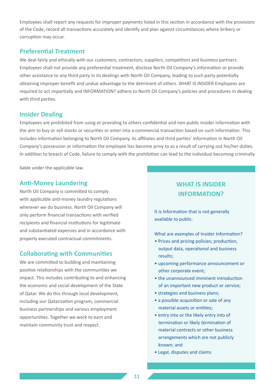Employees shall report any requests for improper payments listed in this section in accordance with the provisions of the Code, record all transactions accurately and identify and plan against circumstances where bribery or corruption may occur.

#### **Preferential Treatment**

We deal fairly and ethically with our customers, contractors, suppliers, competitors and business partners. Employees shall not provide any preferential treatment, disclose North Oil Company's information or provide other assistance to any third party in its dealings with North Oil Company, leading to such party potentially obtaining improper benefit and undue advantage to the detriment of others. WHAT IS INSIDER Employees are required to act impartially and INFORMATION? adhere to North Oil Company's policies and procedures in dealing with third parties.

#### **Insider Dealing**

Employees are prohibited from using or providing to others confidential and non-public insider information with the aim to buy or sell stocks or securities or enter into a commercial transaction based on such information. This includes information belonging to North Oil Company, its affiliates and third parties' information in North Oil Company's possession or information the employee has become privy to as a result of carrying out his/her duties. In addition to breach of Code, failure to comply with the prohibition can lead to the individual becoming criminally

liable under the applicable law.

#### **Anti-Money Laundering**

North Oil Company is committed to comply with applicable anti-money laundry regulations wherever we do business. North Oil Company will only perform financial transactions with verified recipients and financial institutions for legitimate and substantiated expenses and in accordance with properly executed contractual commitments.

#### **Collaborating with Communities**

We are committed to building and maintaining positive relationships with the communities we impact. This includes contributing to and enhancing the economic and social development of the State of Qatar. We do this through local development, including our Qatarization program, commercial business partnerships and various employment opportunities. Together we work to earn and maintain community trust and respect.

### **WHAT IS INSIDER INFORMATION?**

It is Information that is not generally available to public.

What are examples of Insider Information?

- Prices and pricing policies; production, output data, operational and business results;
- upcoming performance announcement or other corporate event;
- the unannounced imminent introduction of an important new product or service;
- strategies and business plans;
- a possible acquisition or sale of any material assets or entities;
- entry into or the likely entry into of termination or likely termination of material contracts or other business arrangements which are not publicly known; and
- Legal, disputes and claims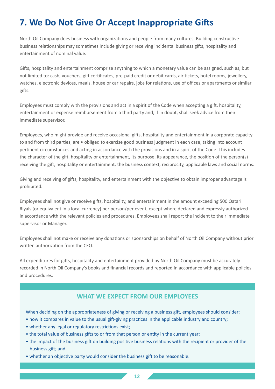# <span id="page-11-0"></span>**7. We Do Not Give Or Accept Inappropriate Gifts**

North Oil Company does business with organizations and people from many cultures. Building constructive business relationships may sometimes include giving or receiving incidental business gifts, hospitality and entertainment of nominal value.

Gifts, hospitality and entertainment comprise anything to which a monetary value can be assigned, such as, but not limited to: cash, vouchers, gift certificates, pre-paid credit or debit cards, air tickets, hotel rooms, jewellery, watches, electronic devices, meals, house or car repairs, jobs for relations, use of offices or apartments or similar gifts.

Employees must comply with the provisions and act in a spirit of the Code when accepting a gift, hospitality, entertainment or expense reimbursement from a third party and, if in doubt, shall seek advice from their immediate supervisor.

Employees, who might provide and receive occasional gifts, hospitality and entertainment in a corporate capacity to and from third parties, are • obliged to exercise good business judgment in each case, taking into account pertinent circumstances and acting in accordance with the provisions and in a spirit of the Code. This includes the character of the gift, hospitality or entertainment, its purpose, its appearance, the position of the person(s) receiving the gift, hospitality or entertainment, the business context, reciprocity, applicable laws and social norms.

Giving and receiving of gifts, hospitality, and entertainment with the objective to obtain improper advantage is prohibited.

Employees shall not give or receive gifts, hospitality, and entertainment in the amount exceeding 500 Qatari Riyals (or equivalent in a local currency) per person/per event, except where declared and expressly authorized in accordance with the relevant policies and procedures. Employees shall report the incident to their immediate supervisor or Manager.

Employees shall not make or receive any donations or sponsorships on behalf of North Oil Company without prior written authorization from the CEO.

All expenditures for gifts, hospitality and entertainment provided by North Oil Company must be accurately recorded in North Oil Company's books and financial records and reported in accordance with applicable policies and procedures.

#### **WHAT WE EXPECT FROM OUR EMPLOYEES**

When deciding on the appropriateness of giving or receiving a business gift, employees should consider:

- how it compares in value to the usual gift-giving practices in the applicable industry and country;
- whether any legal or regulatory restrictions exist;
- the total value of business gifts to or from that person or entity in the current year;
- the impact of the business gift on building positive business relations with the recipient or provider of the business gift; and
- whether an objective party would consider the business gift to be reasonable.

**[12](#page-2-0)**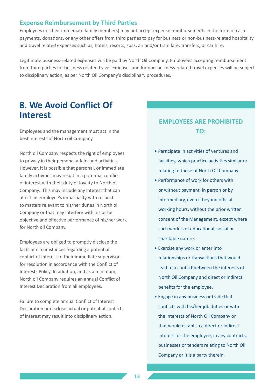#### <span id="page-12-0"></span>**Expense Reimbursement by Third Parties**

Employees (or their immediate family members) may not accept expense reimbursements in the form of cash payments, donations, or any other offers from third parties to pay for business or non-business-related hospitality and travel related expenses such as, hotels, resorts, spas, air and/or train fare, transfers, or car hire.

Legitimate business-related expenses will be paid by North Oil Company. Employees accepting reimbursement from third parties for business related travel expenses and for non-business-related travel expenses will be subject to disciplinary action, as per North Oil Company's disciplinary procedures.

### **8. We Avoid Conflict Of Interest**

Employees and the management must act in the best interests of North oil Company.

North oil Company respects the right of employees to privacy in their personal affairs and activities. However, it is possible that personal, or immediate family activities may result in a potential conflict of interest with their duty of loyalty to North oil Company. This may include any interest that can affect an employee's impartiality with respect to matters relevant to his/her duties in North oil Company or that may interfere with his or her objective and effective performance of his/her work for North oil Company.

Employees are obliged to promptly disclose the facts or circumstances regarding a potential conflict of interest to their immediate supervisors for resolution in accordance with the Conflict of Interests Policy. In addition, and as a minimum, North oil Company requires an annual Conflict of Interest Declaration from all employees.

Failure to complete annual Conflict of Interest Declaration or disclose actual or potential conflicts of interest may result into disciplinary action.

#### **EMPLOYEES ARE PROHIBITED TO:**

- Participate in activities of ventures and facilities, which practice activities similar or relating to those of North Oil Company.
- Performance of work for others with or without payment, in person or by intermediary, even if beyond official working hours, without the prior written consent of the Management, except where such work is of educational, social or charitable nature.
- Exercise any work or enter into relationships or transactions that would lead to a conflict between the interests of North Oil Company and direct or indirect benefits for the employee.
- Engage in any business or trade that conflicts with his/her job duties or with the interests of North Oil Company or that would establish a direct or indirect interest for the employee, in any contracts, businesses or tenders relating to North Oil Company or it is a party therein.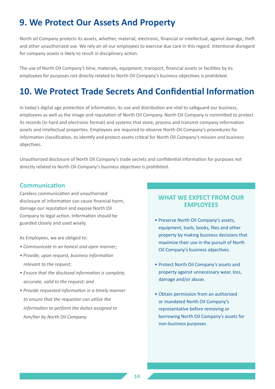# <span id="page-13-0"></span>**9. We Protect Our Assets And Property**

North oil Company protects its assets, whether, material, electronic, financial or intellectual, against damage, theft and other unauthorized use. We rely on all our employees to exercise due care in this regard. Intentional disregard for company assets is likely to result in disciplinary action.

The use of North Oil Company's time, materials, equipment, transport, financial assets or facilities by its employees for purposes not directly related to North Oil Company's business objectives is prohibited.

# **10. We Protect Trade Secrets And Confidential Information**

In today's digital age protection of information, its use and distribution are vital to safeguard our business, employees as well as the image and reputation of North Oil Company. North Oil Company is committed to protect its records (in hard and electronic format) and systems that store, process and transmit company information assets and intellectual properties. Employees are required to observe North Oil Company's procedures for information classification, to identify and protect assets critical for North Oil Company's mission and business objectives.

Unauthorized disclosure of North Oil Company's trade secrets and confidential information for purposes not directly related to North Oil Company's business objectives is prohibited.

#### **Communication**

Careless communication and unauthorized disclosure of information can cause financial harm, damage our reputation and expose North Oil Company to legal action. Information should be guarded closely and used wisely.

As Employees, we are obliged to:

- *Communicate in an honest and open manner;*
- *Provide, upon request, business information relevant to the request;*
- *Ensure that the disclosed information is complete, accurate, valid to the request; and*
- *Provide requested information in a timely manner to ensure that the requestor can utilize the information to perform the duties assigned to him/her by North Oil Company.*

#### **WHAT WE EXPECT FROM OUR EMPLOYEES**

- Preserve North Oil Company's assets, equipment, tools, books, files and other property by making business decisions that maximize their use in the pursuit of North Oil Company's business objectives.
- Protect North Oil Company's assets and property against unnecessary wear, loss, damage and/or abuse.
- Obtain permission from an authorized or mandated North Oil Company's representative before removing or borrowing North Oil Company's assets for non-business purposes.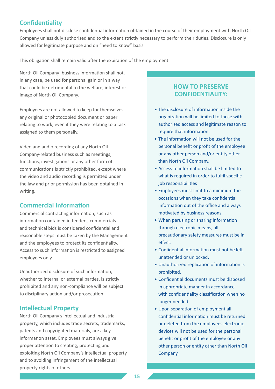#### **Confidentiality**

Employees shall not disclose confidential information obtained in the course of their employment with North Oil Company unless duly authorised and to the extent strictly necessary to perform their duties. Disclosure is only allowed for legitimate purpose and on "need to know" basis.

This obligation shall remain valid after the expiration of the employment.

North Oil Company' business information shall not, in any case, be used for personal gain or in a way that could be detrimental to the welfare, interest or image of North Oil Company.

Employees are not allowed to keep for themselves any original or photocopied document or paper relating to work, even if they were relating to a task assigned to them personally.

Video and audio recording of any North Oil Company-related business such as meetings, functions, investigations or any other form of communications is strictly prohibited, except where the video and audio recording is permitted under the law and prior permission has been obtained in writing.

#### **Commercial Information**

Commercial contracting information, such as information contained in tenders, commercials and technical bids is considered confidential and reasonable steps must be taken by the Management and the employees to protect its confidentiality. Access to such information is restricted to assigned employees only.

Unauthorized disclosure of such information, whether to internal or external parties, is strictly prohibited and any non-compliance will be subject to disciplinary action and/or prosecution.

#### **Intellectual Property**

North Oil Company's intellectual and industrial property, which includes trade secrets, trademarks, patents and copyrighted materials, are a key information asset. Employees must always give proper attention to creating, protecting and exploiting North Oil Company's intellectual property and to avoiding infringement of the intellectual property rights of others.

#### **HOW TO PRESERVE CONFIDENTIALITY:**

- The disclosure of information inside the organization will be limited to those with authorized access and legitimate reason to require that information.
- The information will not be used for the personal benefit or profit of the employee or any other person and/or entity other than North Oil Company.
- Access to information shall be limited to what is required in order to fulfil specific job responsibilities
- Employees must limit to a minimum the occasions when they take confidential information out of the office and always motivated by business reasons.
- When perusing or sharing information through electronic means, all precautionary safety measures must be in effect.
- Confidential information must not be left unattended or unlocked.
- Unauthorized replication of information is prohibited.
- Confidential documents must be disposed in appropriate manner in accordance with confidentiality classification when no longer needed.
- Upon separation of employment all confidential information must be returned or deleted from the employees electronic devices will not be used for the personal benefit or profit of the employee or any other person or entity other than North Oil Company.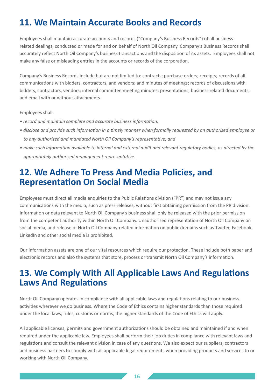# <span id="page-15-0"></span>**11. We Maintain Accurate Books and Records**

Employees shall maintain accurate accounts and records ("Company's Business Records") of all businessrelated dealings, conducted or made for and on behalf of North Oil Company. Company's Business Records shall accurately reflect North Oil Company's business transactions and the disposition of its assets. Employees shall not make any false or misleading entries in the accounts or records of the corporation.

Company's Business Records include but are not limited to: contracts; purchase orders; receipts; records of all communications with bidders, contractors, and vendors; and minutes of meetings; records of discussions with bidders, contractors, vendors; internal committee meeting minutes; presentations; business related documents; and email with or without attachments.

Employees shall:

- *record and maintain complete and accurate business information;*
- *disclose and provide such information in a timely manner when formally requested by an authorized employee or to any authorized and mandated North Oil Company's representative; and*
- *make such information available to internal and external audit and relevant regulatory bodies, as directed by the appropriately authorized management representative.*

### **12. We Adhere To Press And Media Policies, and Representation On Social Media**

Employees must direct all media enquiries to the Public Relations division ("PR") and may not issue any communications with the media, such as press releases, without first obtaining permission from the PR division. Information or data relevant to North Oil Company's business shall only be released with the prior permission from the competent authority within North Oil Company. Unauthorised representation of North Oil Company on social media, and release of North Oil Company-related information on public domains such as Twitter, Facebook, LinkedIn and other social media is prohibited.

Our information assets are one of our vital resources which require our protection. These include both paper and electronic records and also the systems that store, process or transmit North Oil Company's information.

## **13. We Comply With All Applicable Laws And Regulations Laws And Regulations**

North Oil Company operates in compliance with all applicable laws and regulations relating to our business activities wherever we do business. Where the Code of Ethics contains higher standards than those required under the local laws, rules, customs or norms, the higher standards of the Code of Ethics will apply.

All applicable licenses, permits and government authorizations should be obtained and maintained if and when required under the applicable law. Employees shall perform their job duties in compliance with relevant laws and regulations and consult the relevant division in case of any questions. We also expect our suppliers, contractors and business partners to comply with all applicable legal requirements when providing products and services to or working with North Oil Company.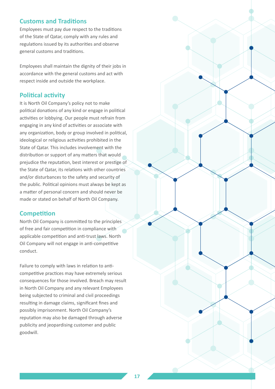#### **Customs and Traditions**

Employees must pay due respect to the traditions of the State of Qatar, comply with any rules and regulations issued by its authorities and observe general customs and traditions.

Employees shall maintain the dignity of their jobs in accordance with the general customs and act with respect inside and outside the workplace.

#### **Political activity**

It is North Oil Company's policy not to make political donations of any kind or engage in political activities or lobbying. Our people must refrain from engaging in any kind of activities or associate with any organization, body or group involved in political, ideological or religious activities prohibited in the State of Qatar. This includes involvement with the distribution or support of any matters that would prejudice the reputation, best interest or prestige of the State of Qatar, its relations with other countries and/or disturbances to the safety and security of the public. Political opinions must always be kept as a matter of personal concern and should never be made or stated on behalf of North Oil Company.

#### **Competition**

North Oil Company is committed to the principles of free and fair competition in compliance with applicable competition and anti-trust laws. North Oil Company will not engage in anti-competitive conduct.

Failure to comply with laws in relation to anticompetitive practices may have extremely serious consequences for those involved. Breach may result in North Oil Company and any relevant Employees being subjected to criminal and civil proceedings resulting in damage claims, significant fines and possibly imprisonment. North Oil Company's reputation may also be damaged through adverse publicity and jeopardising customer and public goodwill.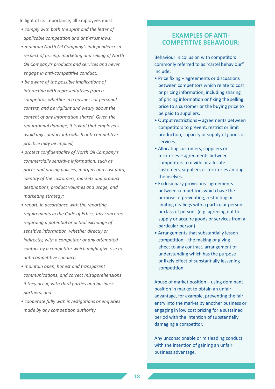In light of its importance, all Employees must:

- *comply with both the spirit and the letter of applicable competition and anti-trust laws;*
- *maintain North Oil Company's independence in respect of pricing, marketing and selling of North Oil Company's products and services and never engage in anti-competitive conduct;*
- *be aware of the possible implications of interacting with representatives from a competitor, whether in a business or personal context, and be vigilant and weary about the content of any information shared. Given the reputational damage, it is vital that employees avoid any conduct into which anti-competitive practice may be implied;*
- *protect confidentiality of North Oil Company's commercially sensitive information, such as, prices and pricing policies, margins and cost data, identity of the customers, markets and product destinations, product volumes and usage, and marketing strategy;*
- *report, in accordance with the reporting requirements in the Code of Ethics, any concerns regarding a potential or actual exchange of sensitive information, whether directly or indirectly, with a competitor or any attempted contact by a competitor which might give rise to anti-competitive conduct;*
- *maintain open, honest and transparent communications, and correct misapprehensions if they occur, with third parties and business partners; and*
- *cooperate fully with investigations or enquiries made by any competition authority.*

#### **EXAMPLES OF ANTI-COMPETITIVE BEHAVIOUR:**

Behaviour in collusion with competitors commonly referred to as "cartel behaviour" include:

- Price fixing agreements or discussions between competitors which relate to cost or pricing information, including sharing of pricing information or fixing the selling price to a customer or the buying price to be paid to suppliers.
- Output restrictions agreements between competitors to prevent, restrict or limit production, capacity or supply of goods or services.
- Allocating customers, suppliers or territories – agreements between competitors to divide or allocate customers, suppliers or territories among themselves.
- Exclusionary provisions- agreements between competitors which have the purpose of preventing, restricting or limiting dealings with a particular person or class of persons (e.g. agreeing not to supply or acquire goods or services from a particular person)
- Arrangements that substantially lessen competition – the making or giving effect to any contract, arrangement or understanding which has the purpose or likely effect of substantially lessening competition

Abuse of market position – using dominant position in market to obtain an unfair advantage, for example, preventing the fair entry into the market by another business or engaging in low cost pricing for a sustained period with the intention of substantially damaging a competitor.

Any unconscionable or misleading conduct with the intention of gaining an unfair business advantage.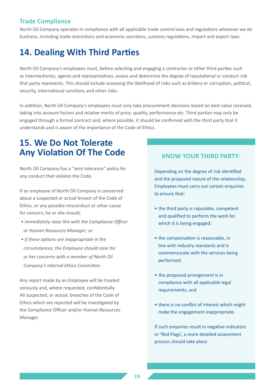#### <span id="page-18-0"></span>**Trade Compliance**

North Oil Company operates in compliance with all applicable trade control laws and regulations wherever we do business, including trade restrictions and economic sanctions, customs regulations, import and export laws.

# **14. Dealing With Third Parties**

North Oil Company's employees must, before selecting and engaging a contractor or other third parties such as intermediaries, agents and representatives, assess and determine the degree of reputational or conduct risk that party represents. This should include assessing the likelihood of risks such as bribery or corruption, political, security, international sanctions and other risks.

In addition, North Oil Company's employees must only take procurement decisions based on best value received, taking into account factors and relative merits of price, quality, performance etc. Third parties may only be engaged through a formal contract and, where possible, it should be confirmed with the third party that it understands and is aware of the importance of the Code of Ethics.

# **15. We Do Not Tolerate Any Violation Of The Code**

North Oil Company has a "zero tolerance" policy for any conduct that violates the Code.

If an employee of North Oil Company is concerned about a suspected or actual breach of the Code of Ethics, or any possible misconduct or other cause for concern, he or she should:

- *immediately raise this with the Compliance Officer or Human Resources Manager; or*
- *if these options are inappropriate in the circumstances, the Employee should raise his or her concerns with a member of North Oil Company's Internal Ethics Committee.*

Any report made by an Employee will be treated seriously and, where requested, confidentially. All suspected, or actual, breaches of the Code of Ethics which are reported will be investigated by the Compliance Officer and/or Human Resources Manager.

#### **KNOW YOUR THIRD PARTY:**

Depending on the degree of risk identified and the proposed nature of the relationship, Employees must carry out certain enquiries to ensure that:

- the third party is reputable, competent and qualified to perform the work for which it is being engaged;
- the compensation is reasonable, in line with industry standards and is commensurate with the services being performed;
- the proposed arrangement is in compliance with all applicable legal requirements; and
- there is no conflict of interest which might make the engagement inappropriate.

If such enquiries result in negative indicators or 'Red Flags', a more detailed assessment process should take place.